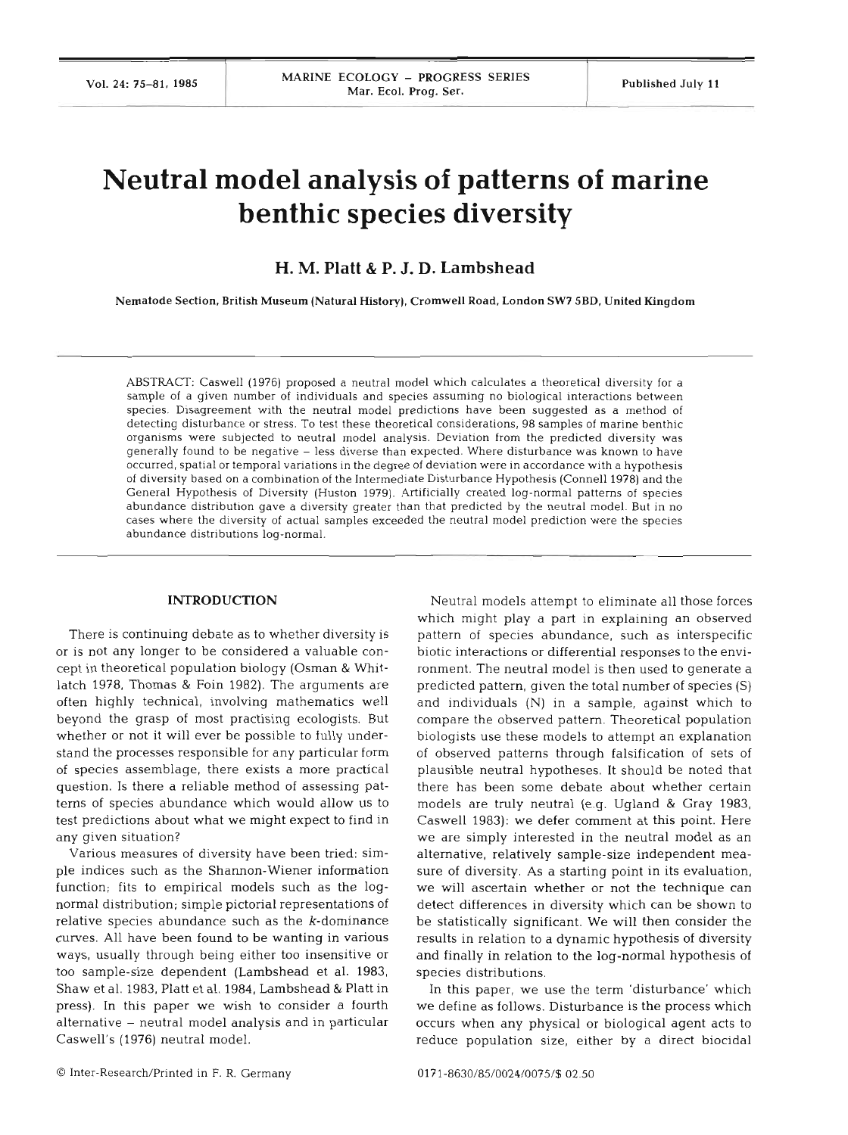## **Neutral model analysis of patterns of marine benthic species diversity**

### **H. M. Platt** & **P. J. D. Lambshead**

Nematode Section, British Museum (Natural History), Cromwell Road, London SW7 **5BD,** United Kingdom

ABSTRACT: Caswell (1976) proposed a neutral model which calculates a theoretical diversity for **<sup>a</sup>** sample of a given number of individuals and species assuming no biological interactions between species. Disagreement with the neutral model predictions have been suggested as a method of detecting disturbance or stress. To test these theoretical considerations, 98 samples of marine benthic organisms were subjected to neutral model analysis. Deviation from the predicted diversity was generally found to be negative - less diverse than expected. Where disturbance was known to have occurred, spatial or temporal variations in the degree of deviation were in accordance with a hypothesis of diversity based on a combination of the Intermediate Disturbance Hypothesis (Connell 1978) and the General Hypothesis of Diversity (Huston 1979). Artificially created log-normal patterns of species abundance distribution gave a diversity greater than that predicted by the neutral model. But in no cases where the diversity of actual samples exceeded the neutral model prediction were the species abundance distributions log-normal.

#### **INTRODUCTION**

There is continuing debate as to whether diversity is or is not any longer to be considered a valuable concept in theoretical population biology (Osman & Whitlatch 1978, Thomas & Foin 1982). The arguments are often highly technical, involving mathematics well beyond the grasp of most practising ecologists. But whether or not it will ever be possible to fully understand the processes responsible for any particular form of species assemblage, there exists a more practical question. Is there a reliable method of assessing patterns of species abundance which would allow us to test predictions about what we might expect to find in any given situation?

Various measures of diversity have been tried: simple indices such as the Shannon-Wiener information function; fits to empirical models such as the lognormal distribution; simple pictorial representations of relative species abundance such as the  $k$ -dominance curves. All have been found to be wanting in various ways, usually through being either too insensitive or too sample-size dependent (Lambshead et al. 1983, Shaw et al. 1983, Platt et al. 1984, Lambshead & Platt in press). In this paper we wish to consider a fourth alternative - neutral model analysis and in particular Caswell's (1976) neutral model.

Neutral models attempt to eliminate all those forces which might play a part in explaining an observed pattern of species abundance, such as interspecific biotic interactions or differential responses to the environment. The neutral model is then used to generate a predicted pattern, given the total number of species (S) and individuals (N) in a sample, against which to compare the observed pattern. Theoretical population biologists use these models to attempt an explanation of observed patterns through falsification of sets of plausible neutral hypotheses. It should be noted that there has been some debate about whether certain models are truly neutral (e.g. Ugland & Gray 1983, Caswell 1983): we defer comment at this point. Here we are simply interested in the neutral model as an alternative, relatively sample-size independent measure of diversity. As a starting point in its evaluation, we will ascertain whether or not the technique can detect differences in diversity which can be shown to be statistically significant. We will then consider the results in relation to a dynamic hypothesis of diversity and finally in relation to the log-normal hypothesis of species distributions.

In this paper, we use the term 'disturbance' which we define as follows. Disturbance is the process which occurs when any physical or biological agent acts to reduce population size, either by a direct biocidal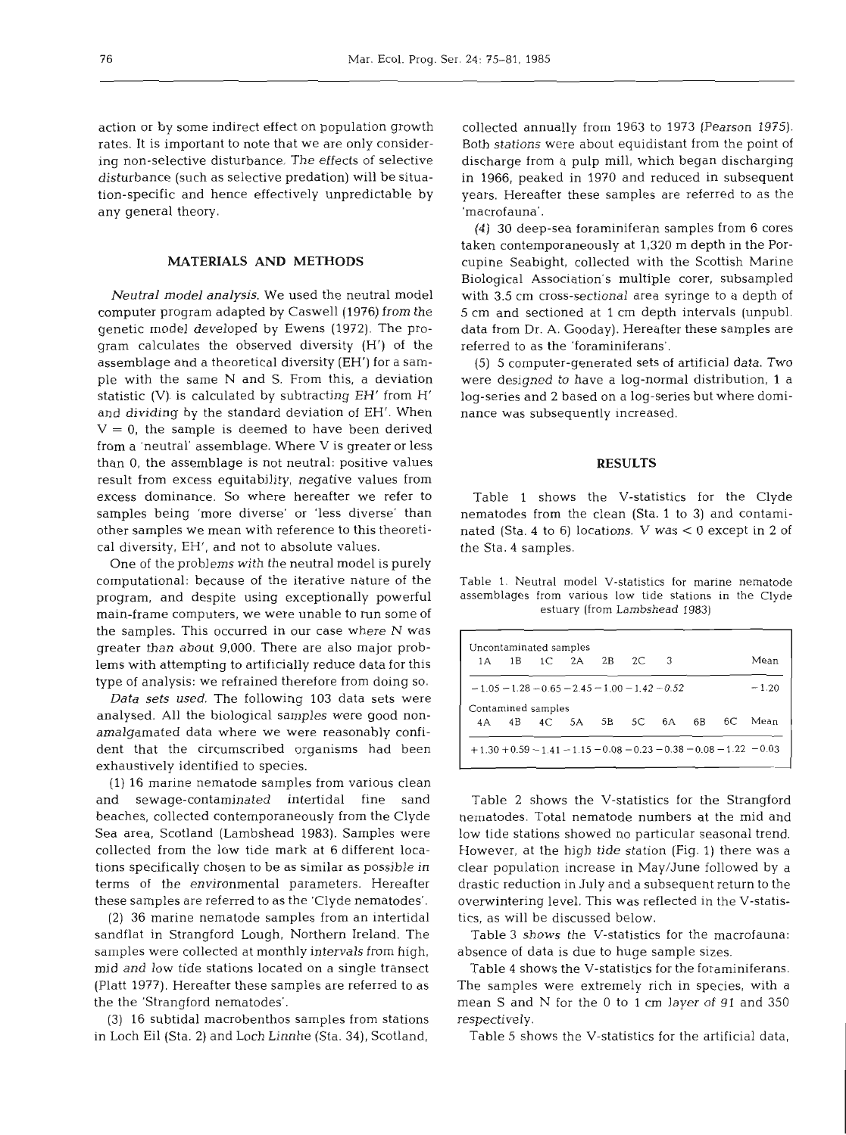action or by some indirect effect on population growth rates. It is important to note that we are only considering non-selective disturbance. The effects of selective disturbance (such as selective predation) will be situation-specific and hence effectively unpredictable by any general theory.

#### **MATERIALS AND METHODS**

*Neutral model analysis.* We used the neutral model computer program adapted by Caswell (1976) from the genetic model developed by Ewens (1972). The program calculates the observed diversity (H') of the assemblage and a theoretical diversity (EH') for a sample with the same N and S. From this, a deviation statistic (V). is calculated by subtracting EH' from H' and dividing by the standard deviation of EH'. When  $V = 0$ , the sample is deemed to have been derived from a 'neutral' assemblage. Where V is greater or less than 0, the assemblage is not neutral: positive values result from excess equitability, negative values from excess dominance. So where hereafter we refer to samples being 'more diverse' or 'less diverse' than other samples we mean with reference to this theoretical diversity, EH', and not to absolute values.

One of the problems with the neutral model is purely computational: because of the iterative nature of the program, and despite using exceptionally powerful main-frame computers, we were unable to run some of the samples. This occurred in our case where N was greater than about 9,000. There are also major problems with attempting to artificially reduce data for this type of analysis: we refrained therefore from doing so.

*Data sets used.* The following 103 data sets were analysed. All the biological samples were good nonamalgamated data where we were reasonably confident that the circumscribed organisms had been exhaustively identified to species.

(1) 16 marine nematode samples from various clean and sewage-contaminated intertidal fine sand beaches, collected contemporaneously from the Clyde Sea area, Scotland (Lambshead 1983). Samples were collected from the low tide mark at 6 different locations specifically chosen to be as similar as possible in terms of the environmental parameters. Hereafter these samples are referred to as the 'Clyde nematodes'.

(2) 36 marine nematode samples from an intertidal sandflat in Strangford Lough, Northern Ireland. The samples were collected at monthly intervals from high, mid and low tide stations located on a single transect (Platt 1977). Hereafter these samples are referred to as the the 'Strangford nematodes'.

(3) 16 subtidal macrobenthos samples from stations in Loch Eil (Sta. 2) and Loch Linnhe (Sta. 34), Scotland,

collected annually from 1963 to 1973 (Pearson 1975). Both stations were about equidistant from the point of discharge from a pulp mill, which began discharging in 1966, peaked in 1970 and reduced in subsequent years. Hereafter these samples are referred to as the 'macrofauna'.

(4) 30 deep-sea foraminiferan samples from 6 cores taken contemporaneously at 1,320 m depth in the Porcupine Seabight, collected with the Scottish Marine Biological Association's multiple corer, subsampled with 3.5 cm cross-sectional area syringe to a depth of 5 cm and sectioned at 1 cm depth intervals (unpubl. data from Dr. **A.** Gooday). Hereafter these samples are referred to as the 'foraminiferans'.

*(5)* 5 computer-generated sets of artificial data. Two were designed to have a log-normal distribution, 1 a log-series and 2 based on a log-series but where dominance was subsequently increased.

#### **RESULTS**

Table 1 shows the V-statistics for the Clyde nematodes from the clean (Sta. 1 to 3) and contaminated (Sta. 4 to 6) locations. V was  $<$  0 except in 2 of the Sta. 4 samples.

Table 1. Neutral model V-statistics for marine nematode assemblages from various low **tide** stations in the Clyde estuary (from Lambshead 1983)

|  | 1A 1B 1C 2A 2B 2C 3                               |  |  |  | Mean    |
|--|---------------------------------------------------|--|--|--|---------|
|  | $-1.05 - 1.28 - 0.65 - 2.45 - 1.00 - 1.42 - 0.52$ |  |  |  | $-1.20$ |
|  |                                                   |  |  |  |         |
|  | Contamined samples                                |  |  |  |         |

Table 2 shows the V-statistics for the Strangford nematodes. Total nematode numbers at the mid and low tide stations showed no particular seasonal trend. However, at the high tide station (Fig. 1) there was a clear population increase in May/June followed by a drastic reduction in July and a subsequent return to the overwintering level. This was reflected in the V-statistics, as will be discussed below.

Table 3 shows the V-statistics for the macrofauna: absence of data is due to huge sample sizes.

Table 4 shows the V-statistics for the foraminiferans. The samples were extremely rich in species, with a mean S and N for the 0 to 1 cm layer of 91 and 350 respectively.

Table 5 shows the V-statistics for the artificial data,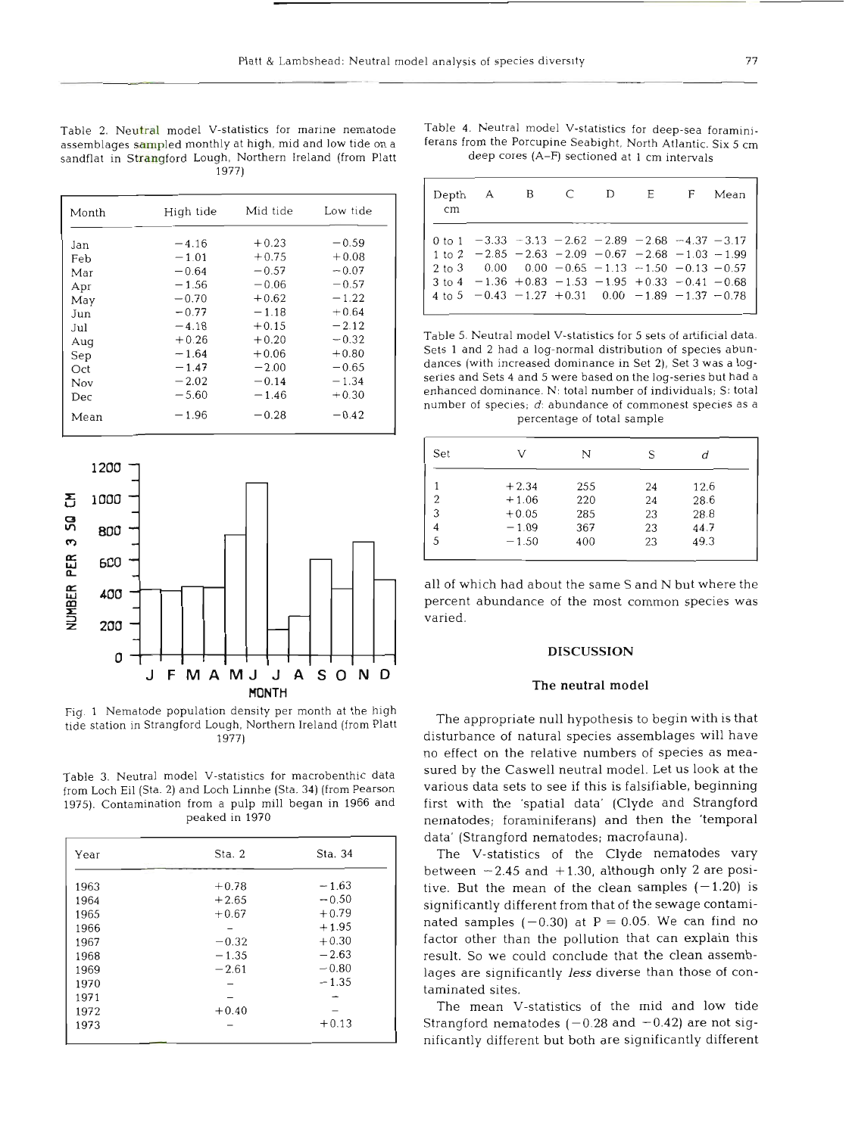Table 2. Neutral model V-statistics for marine nematod assemblages sampled monthly at high, mid and low tide on a sandflat in Strangford Lough, Northern Ireland (from Platt 1977)

| High tide | Mid tide | Low tide |
|-----------|----------|----------|
| $-4.16$   | $+0.23$  | $-0.59$  |
| $-1.01$   | $+0.75$  | $+0.08$  |
| $-0.64$   | $-0.57$  | $-0.07$  |
| $-1.56$   | $-0.06$  | $-0.57$  |
| $-0.70$   | $+0.62$  | $-1.22$  |
| $-0.77$   | $-1.18$  | $+0.64$  |
| $-4.18$   | $+0.15$  | $-2.12$  |
| $+0.26$   | $+0.20$  | $-0.32$  |
| $-1.64$   | $+0.06$  | $+0.80$  |
| $-1.47$   | $-2.00$  | $-0.65$  |
| $-2.02$   | $-0.14$  | $-1.34$  |
| $-5.60$   | $-1.46$  | $+0.30$  |
| $-1.96$   | $-0.28$  | $-0.42$  |
|           |          |          |



Fig. 1 Nematode population density per month at the high tide station in Strangford Lough, Northern Ireland (from Platt 1977)

Table **3.** Neutral model V-statistics for macrobenthic data from Loch Eil (Sta. 2) and Loch Linnhe (Sta. **34)** (from Pearson 1975). Contamination from a pulp mill began in 1966 and peaked in 1970

| Year | Sta.2   | Sta. 34 |
|------|---------|---------|
| 1963 | $+0.78$ | $-1.63$ |
| 1964 | $+2.65$ | $-0.50$ |
| 1965 | $+0.67$ | $+0.79$ |
| 1966 |         | $+1.95$ |
| 1967 | $-0.32$ | $+0.30$ |
| 1968 | $-1.35$ | $-2.63$ |
| 1969 | $-2.61$ | $-0.80$ |
| 1970 |         | $-1.35$ |
| 1971 |         |         |
| 1972 | $+0.40$ |         |
| 1973 |         | $+0.13$ |

Table 4. Neutral model V-statistics for deep-sea foraminiferans from the Porcupine Seabight, North Atlantic. Six 5 cm deep cores (A-F) sectioned at 1 cm intervals

| - cm | Depth A B C D E F Mean                                                                                                                                                                                                                                                                                                 |  |  |  |
|------|------------------------------------------------------------------------------------------------------------------------------------------------------------------------------------------------------------------------------------------------------------------------------------------------------------------------|--|--|--|
|      | 0 to 1 $-3.33$ $-3.13$ $-2.62$ $-2.89$ $-2.68$ $-4.37$ $-3.17$<br>$1 \text{ to } 2$ -2.85 -2.63 -2.09 -0.67 -2.68 -1.03 -1.99<br>2 to 3 0.00 0.00 $-0.65$ $-1.13$ $-1.50$ $-0.13$ $-0.57$<br>$3 \text{ to } 4$ - 1.36 + 0.83 - 1.53 - 1.95 + 0.33 - 0.41 - 0.68<br>4 to 5 $-0.43 -1.27 +0.31$ 0.00 $-1.89 -1.37 -0.78$ |  |  |  |

Table **5.** Neutral model V-statistics for 5 sets of artificial data. Sets 1 and 2 had a log-normal distribution of species abu dances (with increased dominance in Set **2),** Set **3** was a logseries and Sets 4 and 5 were based on the log-series but had a enhanced dominance. N: total number of individuals; S: total number of species; d: abundance of commonest species as a percentage of total sample

| Set |         | N   | S  |      |
|-----|---------|-----|----|------|
|     | $+2.34$ | 255 | 24 | 12.6 |
| 2   | $+1.06$ | 220 | 24 | 28.6 |
| 3   | $+0.05$ | 285 | 23 | 28.8 |
| 4   | $-1.09$ | 367 | 23 | 44.7 |
| 5   | $-1.50$ | 400 | 23 | 49.3 |

all of which had about the same S and N but where the percent abundance of the most common species was varied.

#### **DISCUSSION**

#### The neutral mode

The appropriate null hypothesis to begin with is that disturbance of natural species assemblages will have no effect on the relative numbers of species as measured by the Caswell neutral model. Let us look at the various data sets to see if this is falsifiable, beginning first with the 'spatial data' (Clyde and Strangford nematodes; foraminiferans) and then the 'temporal data' (Strangford nematodes; macrofauna).

The V-statistics of the Clyde nematodes vary between  $-2.45$  and  $+1.30$ , although only 2 are positive. But the mean of the clean samples  $(-1.20)$  is significantly different from that of the sewage contaminated samples  $(-0.30)$  at P = 0.05. We can find no factor other than the pollution that can explain this result. So we could conclude that the clean assemblages are significantly less diverse than those of contaminated sites.

The mean V-statistics of the mid and low tide Strangford nematodes  $(-0.28$  and  $-0.42)$  are not significantly different but both are significantly different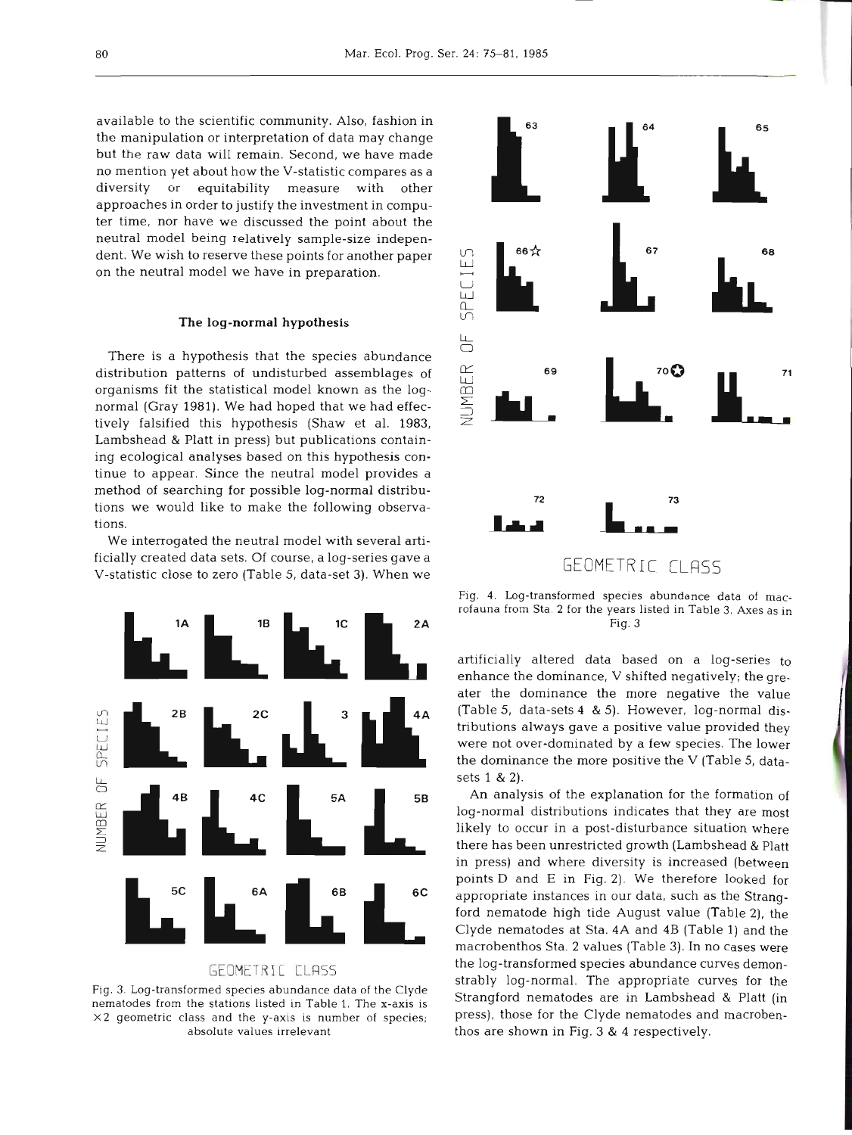available to the scientific community. Also, fashion in the manipulation or interpretation of data may change but the raw data will remain. Second, we have made no mention yet about how the V-statistic compares as a diversity or equitability measure with other approaches in order to justify the investment in computer time, nor have we discussed the point about the neutral model being relatively sample-size independent. We wish to reserve these points for another paper on the neutral model we have in preparation.

# The log-normal hypothesis methods of  $\Box$

There is a hypothesis that the species abundance<br>stribution patterns of undisturbed assemblages of<br>ganisms fit the statistical model known as the log-<br>ormal (Gray 1981). We had hoped that we had effec-<br>galv falsified this distribution patterns of undisturbed assemblages of  $\mathbb{E}$  69 organisms fit the statistical model known as the lognormal (Gray 1981). We had hoped that we had effectively falsified this hypothesis (Shaw et al. 1983, Lambshead & Platt in press) but publications containing ecological analyses based on this hypothesis continue to appear. Since the neutral model provides a method of searching for possible log-normal distributions we would like to make the following observations.

We interrogated the neutral model with several artificially created data sets. Of course, a log-series gave a ncially created data sets. Of course, a log-series gave a<br>V-statistic close to zero (Table 5, data-set 3). When we



ng. 3. Evg-dansionned species abdidance data of the cryde<br>nematodes from the stations listed in Table 1. The x-axis is Strangford nematodes are in Lambshead & Platt (in<br>x2 geometric class and the v-axis is number of specie **X2** geometric class and the y-axis is number of species;



Fig. 4. Log-transformed species abundance data of macrofauna from Sta. 2 for the years listed in Table **3.** Axes as in Fig. **3** 

artificially altered data based on a log-series to enhance the dominance, V shifted negatively; the greater the dominance the more negative the value (Table 5, data-sets 4 & 5). However, log-normal distributions always gave a positive value provided they <sup>W</sup>were not over-dominated by a few species. The lower the dominance the more positive the V (Table 5, data-

An analysis of the explanation for the formation of log-normal distributions indicates that they are most likely to occur in a post-disturbance situation where there has been unrestricted growth (Lambshead & Platt in press) and where diversity is increased (between points D and E in Fig. **2).** We therefore looked for appropriate instances in our data, such as the Strangford nematode high tide August value (Table **2),** the Clyde nematodes at Sta. 4A and 4B (Table 1) and the macrobenthos Sta. **2** values (Table 3). In no cases were GEOMETRIC CLASS the log-transformed species abundance curves demon-<br>Fig. 3. Log-transformed species abundance data of the Clyde strably log-normal. The appropriate curves for the absolute values irrelevant  $\qquad \qquad \text{those}$  are shown in Fig. 3 & 4 respectively.